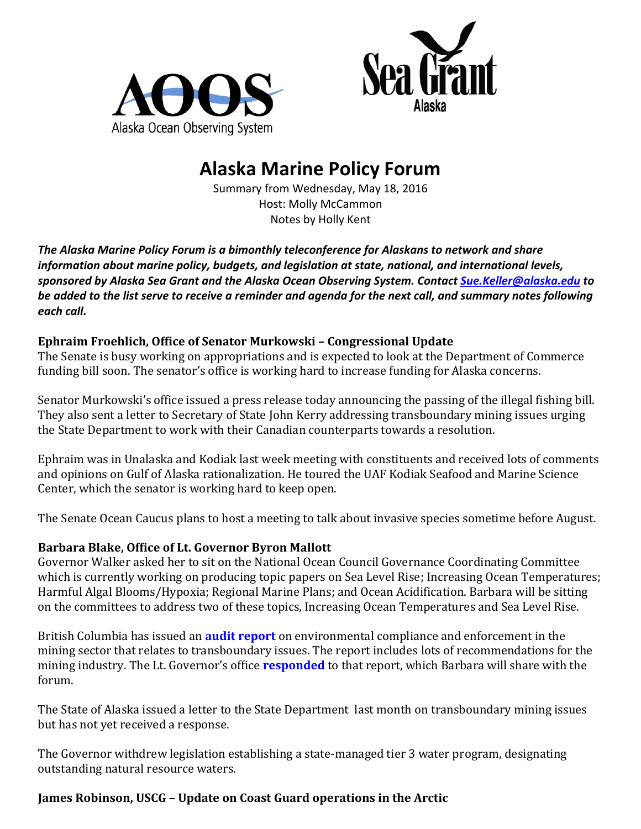



# **Alaska Marine Policy Forum**

Summary from Wednesday, May 18, 2016 Host: Molly McCammon Notes by Holly Kent

The Alaska Marine Policy Forum is a bimonthly teleconference for Alaskans to network and share *information about marine policy, budgets, and legislation at state, national, and international levels, sponsored by Alaska Sea Grant and the Alaska Ocean Observing System. Contact [Sue.Keller@alaska.edu](mailto:Sue.Keller@alaska.edu) to* be added to the list serve to receive a reminder and agenda for the next call, and summary notes following *each call.* 

## **Ephraim Froehlich, Office of Senator Murkowski - Congressional Update**

The Senate is busy working on appropriations and is expected to look at the Department of Commerce funding bill soon. The senator's office is working hard to increase funding for Alaska concerns.

Senator Murkowski's office issued a press release today announcing the passing of the illegal fishing bill. They also sent a letter to Secretary of State John Kerry addressing transboundary mining issues urging the State Department to work with their Canadian counterparts towards a resolution.

Ephraim was in Unalaska and Kodiak last week meeting with constituents and received lots of comments and opinions on Gulf of Alaska rationalization. He toured the UAF Kodiak Seafood and Marine Science Center, which the senator is working hard to keep open.

The Senate Ocean Caucus plans to host a meeting to talk about invasive species sometime before August.

### **Barbara Blake, Office of Lt. Governor Byron Mallott**

Governor Walker asked her to sit on the National Ocean Council Governance Coordinating Committee which is currently working on producing topic papers on Sea Level Rise; Increasing Ocean Temperatures; Harmful Algal Blooms/Hypoxia; Regional Marine Plans; and Ocean Acidification. Barbara will be sitting on the committees to address two of these topics, Increasing Ocean Temperatures and Sea Level Rise.

British Columbia has issued an **[audit report](http://www.aoos.org/wp-content/uploads/2016/05/FINAL_CE_Mining.pdf)** on environmental compliance and enforcement in the mining sector that relates to transboundary issues. The report includes lots of recommendations for the mining industry. The Lt. Governor's office **[responded](http://www.aoos.org/wp-content/uploads/2016/05/05.06.16-Statement-by-Lt.Governor.pdf)** to that report, which Barbara will share with the forum. 

The State of Alaska issued a letter to the State Department last month on transboundary mining issues but has not yet received a response.

The Governor withdrew legislation establishing a state-managed tier 3 water program, designating outstanding natural resource waters.

### **James Robinson, USCG – Update on Coast Guard operations in the Arctic**